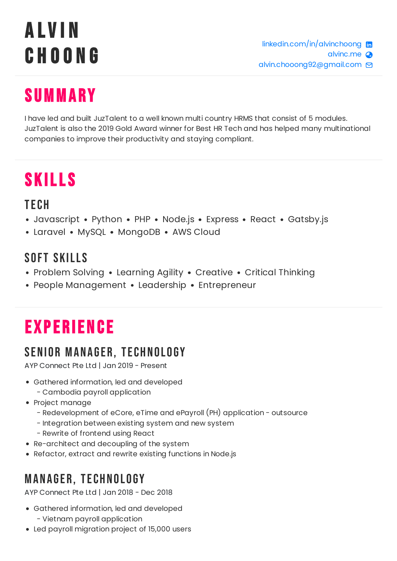# A lv i n C h o o n g

### **SUMMARY**

I have led and built JuzTalent to a well known multi country HRMS that consist of 5 modules. JuzTalent is also the 2019 Gold Award winner for Best HR Tech and has helped many multinational companies to improve their productivity and staying compliant.

### **SKILLS**

#### **TFCH**

- Javascript Python PHP Node.js Express React Gatsby.js
- Laravel MySQL MongoDB AWS Cloud

#### SOFT SKILLS

- Problem Solving Learning Agility Creative Critical Thinking
- People Management Leadership Entrepreneur

## **EXPERIENCE**

### SENIOR MANAGER, TECHNOLOGY

AYP Connect Pte Ltd | Jan 2019 - Present

- Gathered information, led and developed
	- Cambodia payroll application
- Project manage
	- Redevelopment of eCore, eTime and ePayroll (PH) application outsource
	- Integration between existing system and new system
	- Rewrite of frontend using React
- Re-architect and decoupling of the system
- Refactor, extract and rewrite existing functions in Node.js

### **MANAGER, TECHNOLOGY**

AYP Connect Pte Ltd | Jan 2018 - Dec 2018

- Gathered information, led and developed - Vietnam payroll application
- Led payroll migration project of 15,000 users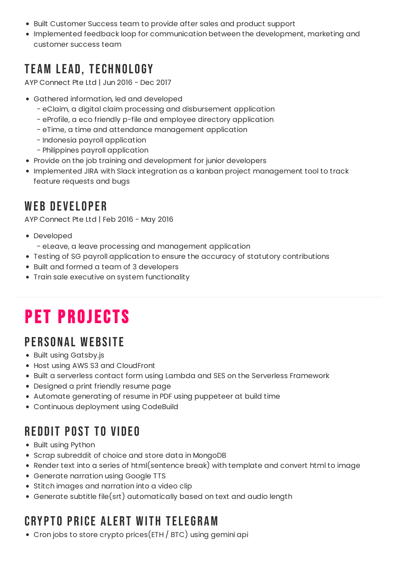- Built Customer Success team to provide after sales and product support
- Implemented feedback loop for communication between the development, marketing and customer success team

### **TEAM LEAD, TECHNOLOGY**

AYP Connect Pte Ltd | Jun 2016 - Dec 2017

- Gathered information, led and developed
	- eClaim, a digital claim processing and disbursement application
	- eProfile, a eco friendly p-file and employee directory application
	- eTime, a time and attendance management application
	- Indonesia payroll application
	- Philippines payroll application
- Provide on the job training and development for junior developers
- Implemented JIRA with Slack integration as a kanban project management tool to track feature requests and bugs

### WEB DEVELOPER

AYP Connect Pte Ltd | Feb 2016 - May 2016

- Developed
	- eLeave, a leave processing and management application
- Testing of SG payroll application to ensure the accuracy of statutory contributions
- Built and formed a team of 3 developers
- Train sale executive on system functionality

### PET PROJECTS

### PERSONAL WEBSITE

- Built using Gatsby.js
- Host using AWS S3 and CloudFront
- Built a serverless contact form using Lambda and SES on the Serverless Framework
- Designed a print friendly resume page
- Automate generating of resume in PDF using puppeteer at build time
- Continuous deployment using CodeBuild

### REDDIT POST TO VIDEO

- Built using Python
- Scrap subreddit of choice and store data in MongoDB
- Render text into a series of html(sentence break) with template and convert html to image
- Generate narration using Google TTS
- Stitch images and narration into a video clip
- Generate subtitle file(srt) automatically based on text and audio length

### CRYPTO PRICE AI FRT WITH TELEGRAM

Cron jobs to store crypto prices(ETH / BTC) using gemini api